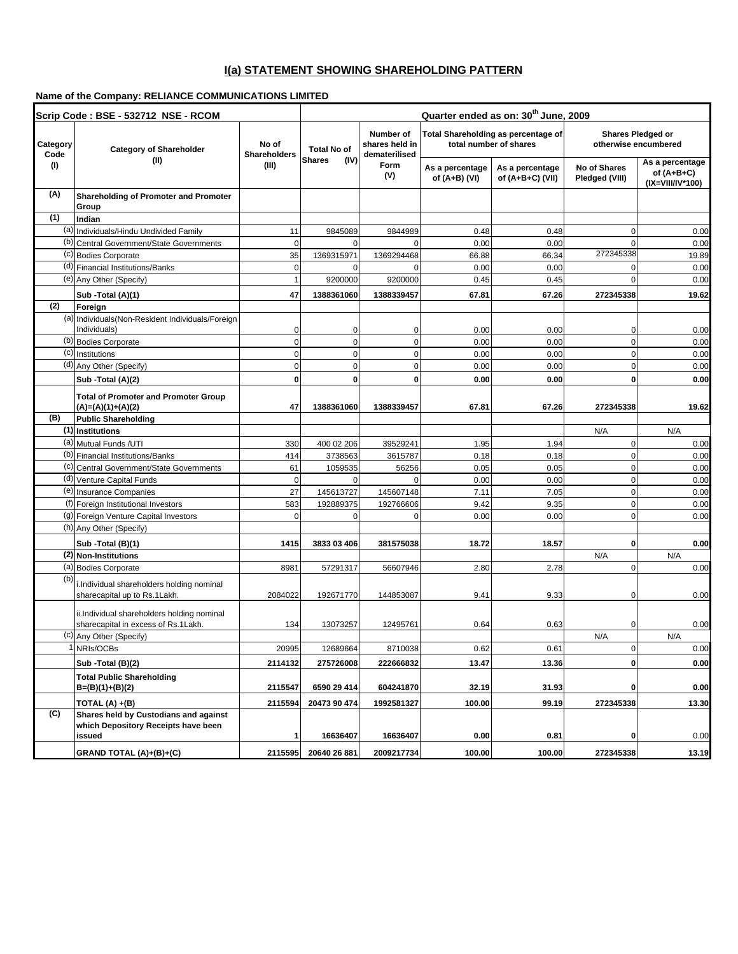## **I(a) STATEMENT SHOWING SHAREHOLDING PATTERN**

## **Name of the Company: RELIANCE COMMUNICATIONS LIMITED**

| Scrip Code: BSE - 532712 NSE - RCOM |                                                                                        |                              | Quarter ended as on: 30 <sup>th</sup> June, 2009 |                                              |                                                               |                                       |                                           |                                                   |
|-------------------------------------|----------------------------------------------------------------------------------------|------------------------------|--------------------------------------------------|----------------------------------------------|---------------------------------------------------------------|---------------------------------------|-------------------------------------------|---------------------------------------------------|
| Category<br>Code                    | <b>Category of Shareholder</b>                                                         | No of<br><b>Shareholders</b> | <b>Total No of</b>                               | Number of<br>shares held in<br>dematerilised | Total Shareholding as percentage of<br>total number of shares |                                       | Shares Pledged or<br>otherwise encumbered |                                                   |
| (1)                                 | (II)                                                                                   | (III)                        | <b>Shares</b><br>(IV)                            | Form<br>(V)                                  | As a percentage<br>of (A+B) (VI)                              | As a percentage<br>of $(A+B+C)$ (VII) | No of Shares<br>Pledged (VIII)            | As a percentage<br>of (A+B+C)<br>(IX=VIII/IV*100) |
| (A)                                 | <b>Shareholding of Promoter and Promoter</b><br>Group                                  |                              |                                                  |                                              |                                                               |                                       |                                           |                                                   |
| (1)                                 | Indian                                                                                 |                              |                                                  |                                              |                                                               |                                       |                                           |                                                   |
|                                     | (a) Individuals/Hindu Undivided Family                                                 | 11                           | 9845089                                          | 9844989                                      | 0.48                                                          | 0.48                                  | $\mathbf 0$                               | 0.00                                              |
|                                     | (b) Central Government/State Governments                                               | $\mathbf 0$                  | $\Omega$                                         | $\Omega$                                     | 0.00                                                          | 0.00                                  | $\Omega$                                  | 0.00                                              |
|                                     | (c) Bodies Corporate                                                                   | 35                           | 1369315971                                       | 1369294468                                   | 66.88                                                         | 66.34                                 | 272345338                                 | 19.89                                             |
|                                     | (d) Financial Institutions/Banks                                                       | $\mathbf 0$                  | 0                                                | $\Omega$                                     | 0.00                                                          | 0.00                                  | $\Omega$                                  | 0.00                                              |
|                                     | (e) Any Other (Specify)                                                                | $\mathbf{1}$                 | 9200000                                          | 9200000                                      | 0.45                                                          | 0.45                                  | $\mathbf 0$                               | 0.00                                              |
|                                     | Sub - Total (A)(1)                                                                     | 47                           | 1388361060                                       | 1388339457                                   | 67.81                                                         | 67.26                                 | 272345338                                 | 19.62                                             |
| (2)                                 | Foreign                                                                                |                              |                                                  |                                              |                                                               |                                       |                                           |                                                   |
|                                     | (a) Individuals (Non-Resident Individuals/Foreign                                      |                              |                                                  |                                              |                                                               |                                       |                                           |                                                   |
|                                     | Individuals)                                                                           | $\mathbf 0$                  | 0                                                | $\mathbf 0$                                  | 0.00                                                          | 0.00                                  | 0                                         | 0.00                                              |
|                                     | (b) Bodies Corporate                                                                   | $\mathbf 0$                  | $\mathbf 0$                                      | $\mathbf 0$                                  | 0.00                                                          | 0.00                                  | $\mathbf 0$                               | 0.00                                              |
|                                     | (c) Institutions                                                                       | $\mathbf 0$                  | $\mathbf 0$                                      | $\mathbf 0$                                  | 0.00                                                          | 0.00                                  | $\mathbf 0$                               | 0.00                                              |
|                                     | (d) Any Other (Specify)                                                                | 0                            | $\mathbf 0$                                      | $\mathbf 0$                                  | 0.00                                                          | 0.00                                  | $\mathbf 0$                               | 0.00                                              |
|                                     | Sub -Total (A)(2)                                                                      | O                            | 0                                                | $\mathbf 0$                                  | 0.00                                                          | 0.00                                  | $\mathbf 0$                               | 0.00                                              |
|                                     | <b>Total of Promoter and Promoter Group</b><br>$(A)=(A)(1)+(A)(2)$                     | 47                           | 1388361060                                       | 1388339457                                   | 67.81                                                         | 67.26                                 | 272345338                                 | 19.62                                             |
| (B)                                 | <b>Public Shareholding</b>                                                             |                              |                                                  |                                              |                                                               |                                       |                                           |                                                   |
|                                     | (1) Institutions                                                                       |                              |                                                  |                                              |                                                               |                                       | N/A                                       | N/A                                               |
|                                     | (a) Mutual Funds / UTI                                                                 | 330                          | 400 02 206                                       | 39529241                                     | 1.95                                                          | 1.94                                  | $\overline{0}$                            | 0.00                                              |
|                                     | (b) Financial Institutions/Banks                                                       | 414                          | 3738563                                          | 3615787                                      | 0.18                                                          | 0.18                                  | $\overline{0}$                            | 0.00                                              |
|                                     | (c) Central Government/State Governments                                               | 61                           | 1059535                                          | 56256                                        | 0.05                                                          | 0.05                                  | $\mathbf 0$                               | 0.00                                              |
|                                     | (d) Venture Capital Funds                                                              | 0                            | $\mathbf 0$                                      | $\Omega$                                     | 0.00                                                          | 0.00                                  | $\mathbf 0$                               | 0.00                                              |
|                                     | (e) Insurance Companies                                                                | 27                           | 145613727                                        | 145607148                                    | 7.11                                                          | 7.05                                  | $\mathbf 0$                               | 0.00                                              |
|                                     | (f) Foreign Institutional Investors                                                    | 583                          | 192889375                                        | 192766606                                    | 9.42                                                          | 9.35                                  | $\mathbf 0$                               | 0.00                                              |
|                                     | (g) Foreign Venture Capital Investors                                                  | 0                            | 0                                                | $\Omega$                                     | 0.00                                                          | 0.00                                  | $\mathbf 0$                               | 0.00                                              |
|                                     | (h) Any Other (Specify)                                                                |                              |                                                  |                                              |                                                               |                                       |                                           |                                                   |
|                                     | Sub - Total (B)(1)                                                                     | 1415                         | 3833 03 406                                      | 381575038                                    | 18.72                                                         | 18.57                                 | $\mathbf 0$                               | 0.00                                              |
|                                     | (2) Non-Institutions                                                                   |                              |                                                  |                                              |                                                               |                                       | N/A                                       | N/A                                               |
|                                     | (a) Bodies Corporate                                                                   | 8981                         | 57291317                                         | 56607946                                     | 2.80                                                          | 2.78                                  | $\mathbf 0$                               | 0.00                                              |
| (b)                                 | i.Individual shareholders holding nominal<br>sharecapital up to Rs.1Lakh.              | 2084022                      | 192671770                                        | 144853087                                    | 9.41                                                          | 9.33                                  | 0                                         | 0.00                                              |
|                                     | ii.Individual shareholders holding nominal<br>sharecapital in excess of Rs.1Lakh.      | 134                          | 13073257                                         | 12495761                                     | 0.64                                                          | 0.63                                  | 0                                         | 0.00                                              |
|                                     | (c) Any Other (Specify)                                                                |                              |                                                  |                                              |                                                               |                                       | N/A                                       | N/A                                               |
|                                     | I NRIs/OCBs                                                                            | 20995                        | 12689664                                         | 8710038                                      | 0.62                                                          | 0.61                                  | $\overline{0}$                            | 0.00                                              |
|                                     | Sub - Total (B)(2)                                                                     | 2114132                      | 275726008                                        | 222666832                                    | 13.47                                                         | 13.36                                 | $\mathbf{0}$                              | 0.00                                              |
|                                     | <b>Total Public Shareholding</b><br>$B=(B)(1)+(B)(2)$                                  | 2115547                      | 6590 29 414                                      | 604241870                                    | 32.19                                                         | 31.93                                 | $\mathbf{0}$                              | 0.00                                              |
|                                     | TOTAL (A) +(B)                                                                         | 2115594                      | 20473 90 474                                     | 1992581327                                   | 100.00                                                        | 99.19                                 | 272345338                                 | 13.30                                             |
| (C)                                 | Shares held by Custodians and against<br>which Depository Receipts have been<br>issued | 1                            | 16636407                                         | 16636407                                     | 0.00                                                          | 0.81                                  | 0                                         | 0.00                                              |
|                                     | GRAND TOTAL (A)+(B)+(C)                                                                | 2115595                      | 20640 26 881                                     | 2009217734                                   | 100.00                                                        | 100.00                                | 272345338                                 | 13.19                                             |
|                                     |                                                                                        |                              |                                                  |                                              |                                                               |                                       |                                           |                                                   |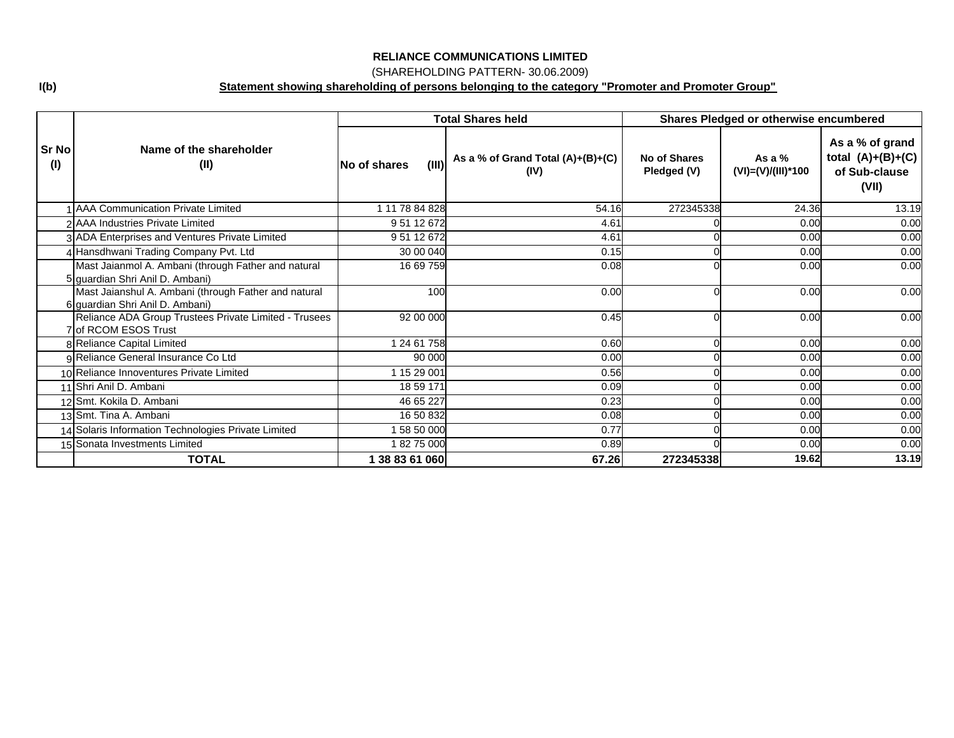## (SHAREHOLDING PATTERN- 30.06.2009)

**Statement showing shareholding of persons belonging to the category "Promoter and Promoter Group"**

|                     |                                                                                         |                       | <b>Total Shares held</b>                    | Shares Pledged or otherwise encumbered |                                |                                                                  |
|---------------------|-----------------------------------------------------------------------------------------|-----------------------|---------------------------------------------|----------------------------------------|--------------------------------|------------------------------------------------------------------|
| <b>Sr No</b><br>(1) | Name of the shareholder<br>(II)                                                         | (III)<br>No of shares | As a % of Grand Total $(A)+(B)+(C)$<br>(IV) | No of Shares<br>Pledged (V)            | As a $%$<br>(VI)=(V)/(III)*100 | As a % of grand<br>total $(A)+(B)+(C)$<br>of Sub-clause<br>(VII) |
|                     | <b>AAA Communication Private Limited</b>                                                | 1 11 78 84 828        | 54.16                                       | 272345338                              | 24.36                          | 13.19                                                            |
|                     | 2 AAA Industries Private Limited                                                        | 95112672              | 4.61                                        |                                        | 0.00                           | 0.00                                                             |
|                     | 3 ADA Enterprises and Ventures Private Limited                                          | 9 51 12 672           | 4.61                                        |                                        | 0.00                           | 0.00                                                             |
|                     | 4 Hansdhwani Trading Company Pvt. Ltd                                                   | 30 00 040             | 0.15                                        |                                        | 0.00                           | 0.00                                                             |
|                     | Mast Jaianmol A. Ambani (through Father and natural<br>5 guardian Shri Anil D. Ambani)  | 16 69 759             | 0.08                                        |                                        | 0.00                           | 0.00                                                             |
|                     | Mast Jaianshul A. Ambani (through Father and natural<br>6 guardian Shri Anil D. Ambani) | 100                   | 0.00                                        |                                        | 0.00                           | 0.00                                                             |
|                     | Reliance ADA Group Trustees Private Limited - Trusees<br>7 of RCOM ESOS Trust           | 92 00 000             | 0.45                                        |                                        | 0.00                           | 0.00                                                             |
|                     | 8 Reliance Capital Limited                                                              | 1 24 61 758           | 0.60                                        |                                        | 0.00                           | 0.00                                                             |
|                     | 9 Reliance General Insurance Co Ltd                                                     | 90 000                | 0.00                                        |                                        | 0.00                           | 0.00                                                             |
|                     | 10 Reliance Innoventures Private Limited                                                | 1 15 29 001           | 0.56                                        |                                        | 0.00                           | 0.00                                                             |
|                     | 11 Shri Anil D. Ambani                                                                  | 18 59 171             | 0.09                                        |                                        | 0.00                           | 0.00                                                             |
|                     | 12 Smt. Kokila D. Ambani                                                                | 46 65 227             | 0.23                                        |                                        | 0.00                           | 0.00                                                             |
|                     | 13 Smt. Tina A. Ambani                                                                  | 16 50 832             | 0.08                                        |                                        | 0.00                           | 0.00                                                             |
|                     | 14 Solaris Information Technologies Private Limited                                     | 58 50 000             | 0.77                                        |                                        | 0.00                           | 0.00                                                             |
|                     | 15 Sonata Investments Limited                                                           | 18275000              | 0.89                                        |                                        | 0.00                           | 0.00                                                             |
|                     | <b>TOTAL</b>                                                                            | 1 38 83 61 060        | 67.26                                       | 272345338                              | 19.62                          | 13.19                                                            |

**I(b)**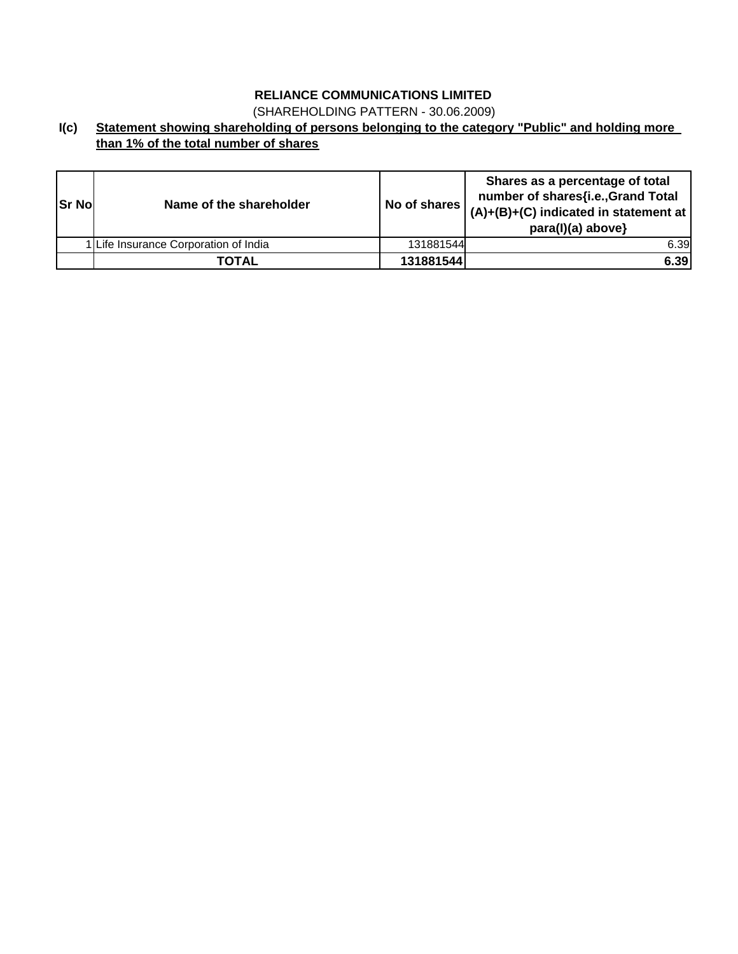(SHAREHOLDING PATTERN - 30.06.2009)

**I(c) Statement showing shareholding of persons belonging to the category "Public" and holding more than 1% of the total number of shares**

| <b>Sr Nol</b> | Name of the shareholder               | No of shares | Shares as a percentage of total<br>number of shares{i.e., Grand Total<br>$(A)+(B)+(C)$ indicated in statement at<br>para(I)(a) above} |
|---------------|---------------------------------------|--------------|---------------------------------------------------------------------------------------------------------------------------------------|
|               | 1 Life Insurance Corporation of India | 131881544    | 6.39                                                                                                                                  |
|               | <b>TOTAL</b>                          | 131881544    | 6.39                                                                                                                                  |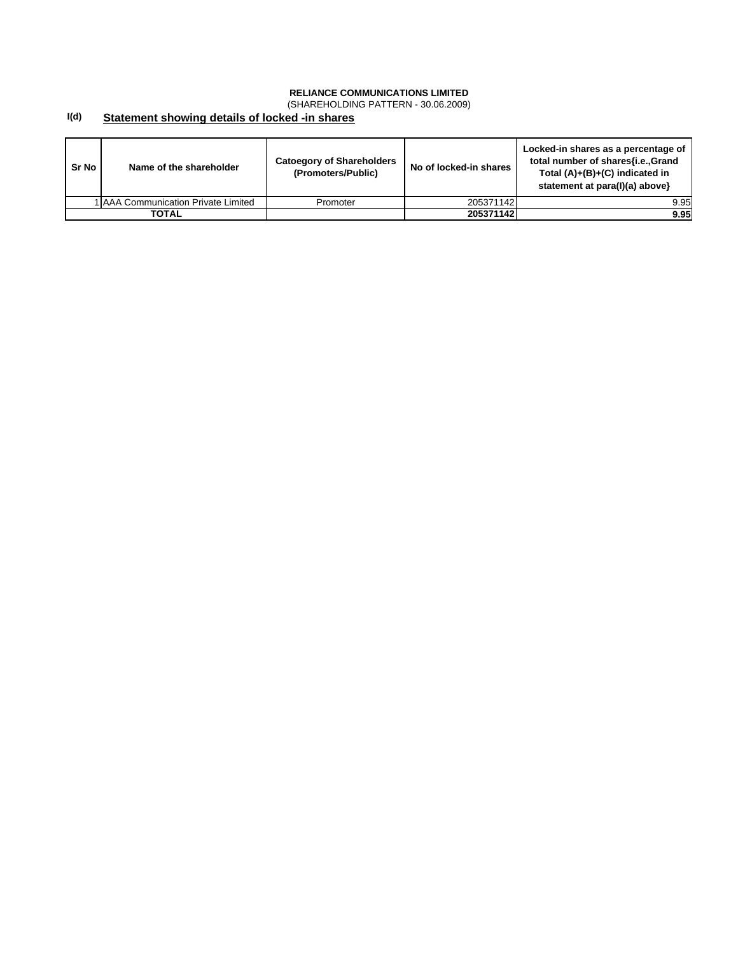(SHAREHOLDING PATTERN - 30.06.2009)

#### **I(d) Statement showing details of locked -in shares**

| Sr No        | Name of the shareholder             | <b>Catoegory of Shareholders</b><br>(Promoters/Public) | No of locked-in shares I | Locked-in shares as a percentage of<br>total number of shares{i.e.,Grand<br>Total $(A)+(B)+(C)$ indicated in<br>statement at para(I)(a) above} |
|--------------|-------------------------------------|--------------------------------------------------------|--------------------------|------------------------------------------------------------------------------------------------------------------------------------------------|
|              | 1 AAA Communication Private Limited | Promoter                                               | 205371142                | 9.95                                                                                                                                           |
| <b>TOTAL</b> |                                     |                                                        | 205371142                | 9.95                                                                                                                                           |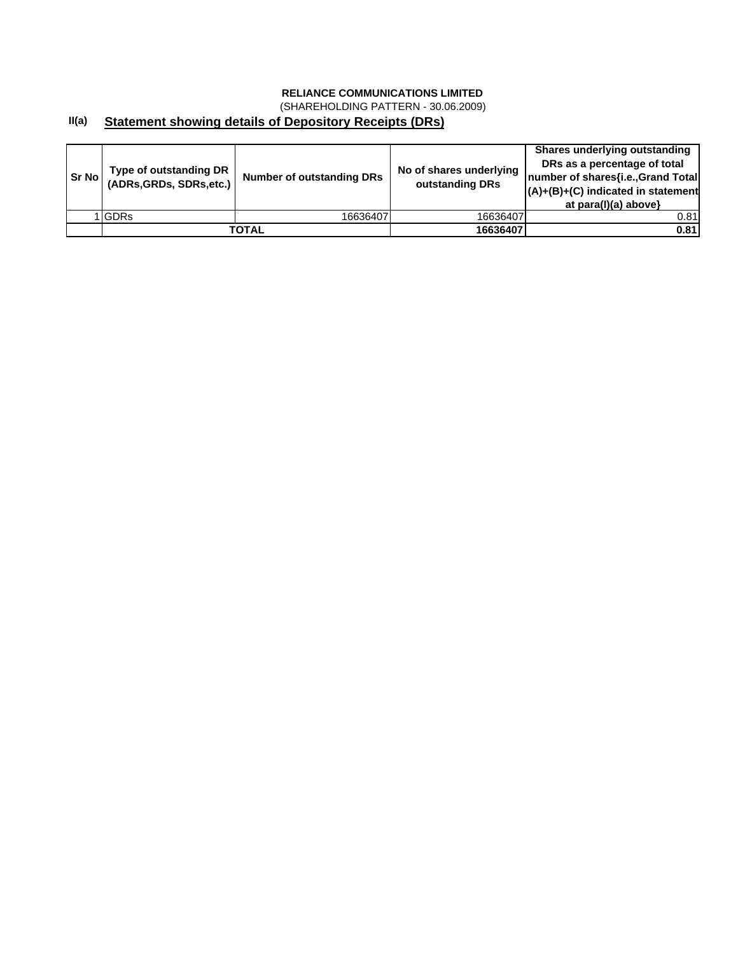(SHAREHOLDING PATTERN - 30.06.2009)

### **II(a) Statement showing details of Depository Receipts (DRs)**

| <b>Sr No I</b> | Type of outstanding DR<br>(ADRs, GRDs, SDRs, etc.) | <b>Number of outstanding DRs</b> | No of shares underlying<br>outstanding DRs | Shares underlying outstanding<br>DRs as a percentage of total<br>number of shares{i.e., Grand Total<br>$(A)+(B)+(C)$ indicated in statement<br>at $para(I)(a)$ above} |
|----------------|----------------------------------------------------|----------------------------------|--------------------------------------------|-----------------------------------------------------------------------------------------------------------------------------------------------------------------------|
|                | <b>IGDRs</b>                                       | 16636407                         | 16636407                                   | 0.81                                                                                                                                                                  |
|                |                                                    | TOTAL                            | 16636407                                   | 0.81                                                                                                                                                                  |